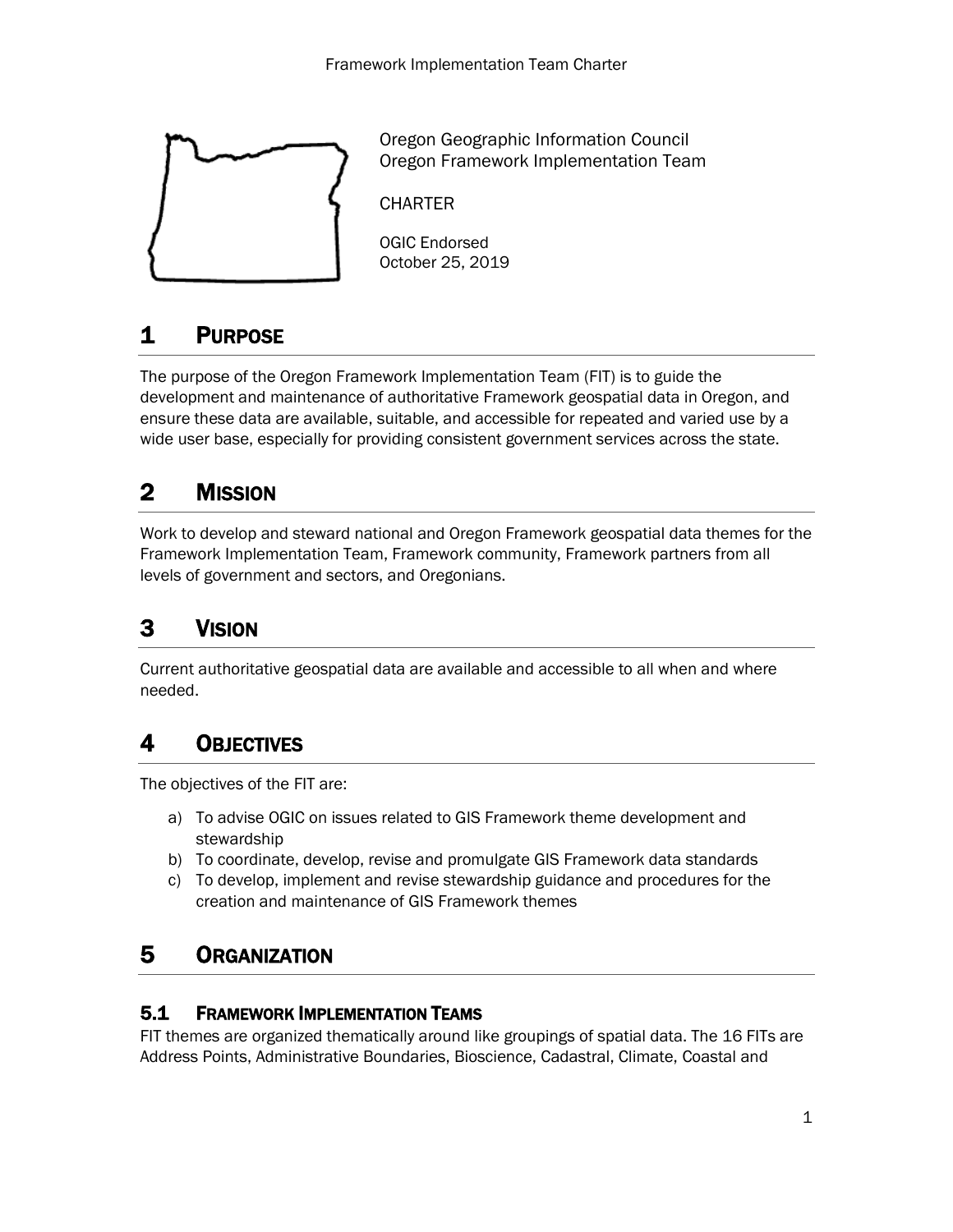

Oregon Geographic Information Council Oregon Framework Implementation Team

**CHARTER** 

OGIC Endorsed October 25, 2019

# 1 PURPOSE

The purpose of the Oregon Framework Implementation Team (FIT) is to guide the development and maintenance of authoritative Framework geospatial data in Oregon, and ensure these data are available, suitable, and accessible for repeated and varied use by a wide user base, especially for providing consistent government services across the state.

# 2 MISSION

Work to develop and steward national and Oregon Framework geospatial data themes for the Framework Implementation Team, Framework community, Framework partners from all levels of government and sectors, and Oregonians.

## 3 VISION

Current authoritative geospatial data are available and accessible to all when and where needed.

## 4 OBJECTIVES

The objectives of the FIT are:

- a) To advise OGIC on issues related to GIS Framework theme development and stewardship
- b) To coordinate, develop, revise and promulgate GIS Framework data standards
- c) To develop, implement and revise stewardship guidance and procedures for the creation and maintenance of GIS Framework themes

## 5 ORGANIZATION

#### 5.1 FRAMEWORK IMPLEMENTATION TEAMS

FIT themes are organized thematically around like groupings of spatial data. The 16 FITs are Address Points, Administrative Boundaries, Bioscience, Cadastral, Climate, Coastal and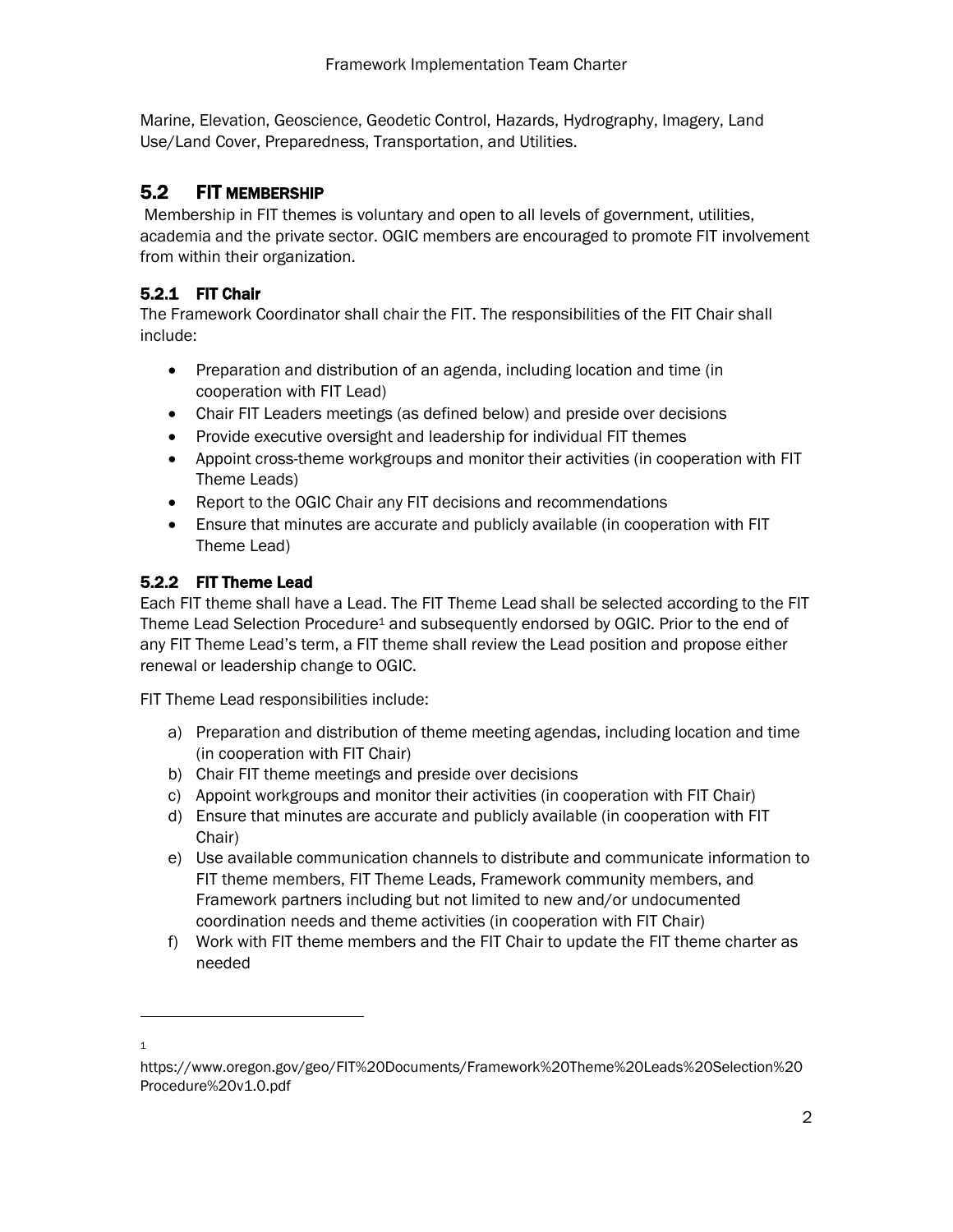Marine, Elevation, Geoscience, Geodetic Control, Hazards, Hydrography, Imagery, Land Use/Land Cover, Preparedness, Transportation, and Utilities.

#### 5.2 FIT MEMBERSHIP

Membership in FIT themes is voluntary and open to all levels of government, utilities, academia and the private sector. OGIC members are encouraged to promote FIT involvement from within their organization.

#### 5.2.1 FIT Chair

The Framework Coordinator shall chair the FIT. The responsibilities of the FIT Chair shall include:

- Preparation and distribution of an agenda, including location and time (in cooperation with FIT Lead)
- Chair FIT Leaders meetings (as defined below) and preside over decisions
- Provide executive oversight and leadership for individual FIT themes
- Appoint cross-theme workgroups and monitor their activities (in cooperation with FIT Theme Leads)
- Report to the OGIC Chair any FIT decisions and recommendations
- Ensure that minutes are accurate and publicly available (in cooperation with FIT Theme Lead)

#### 5.2.2 FIT Theme Lead

Each FIT theme shall have a Lead. The FIT Theme Lead shall be selected according to the FIT Theme Lead Selection Procedure<sup>1</sup> and subsequently endorsed by OGIC. Prior to the end of any FIT Theme Lead's term, a FIT theme shall review the Lead position and propose either renewal or leadership change to OGIC.

FIT Theme Lead responsibilities include:

- a) Preparation and distribution of theme meeting agendas, including location and time (in cooperation with FIT Chair)
- b) Chair FIT theme meetings and preside over decisions
- c) Appoint workgroups and monitor their activities (in cooperation with FIT Chair)
- d) Ensure that minutes are accurate and publicly available (in cooperation with FIT Chair)
- e) Use available communication channels to distribute and communicate information to FIT theme members, FIT Theme Leads, Framework community members, and Framework partners including but not limited to new and/or undocumented coordination needs and theme activities (in cooperation with FIT Chair)
- f) Work with FIT theme members and the FIT Chair to update the FIT theme charter as needed

 1

https://www.oregon.gov/geo/FIT%20Documents/Framework%20Theme%20Leads%20Selection%20 Procedure%20v1.0.pdf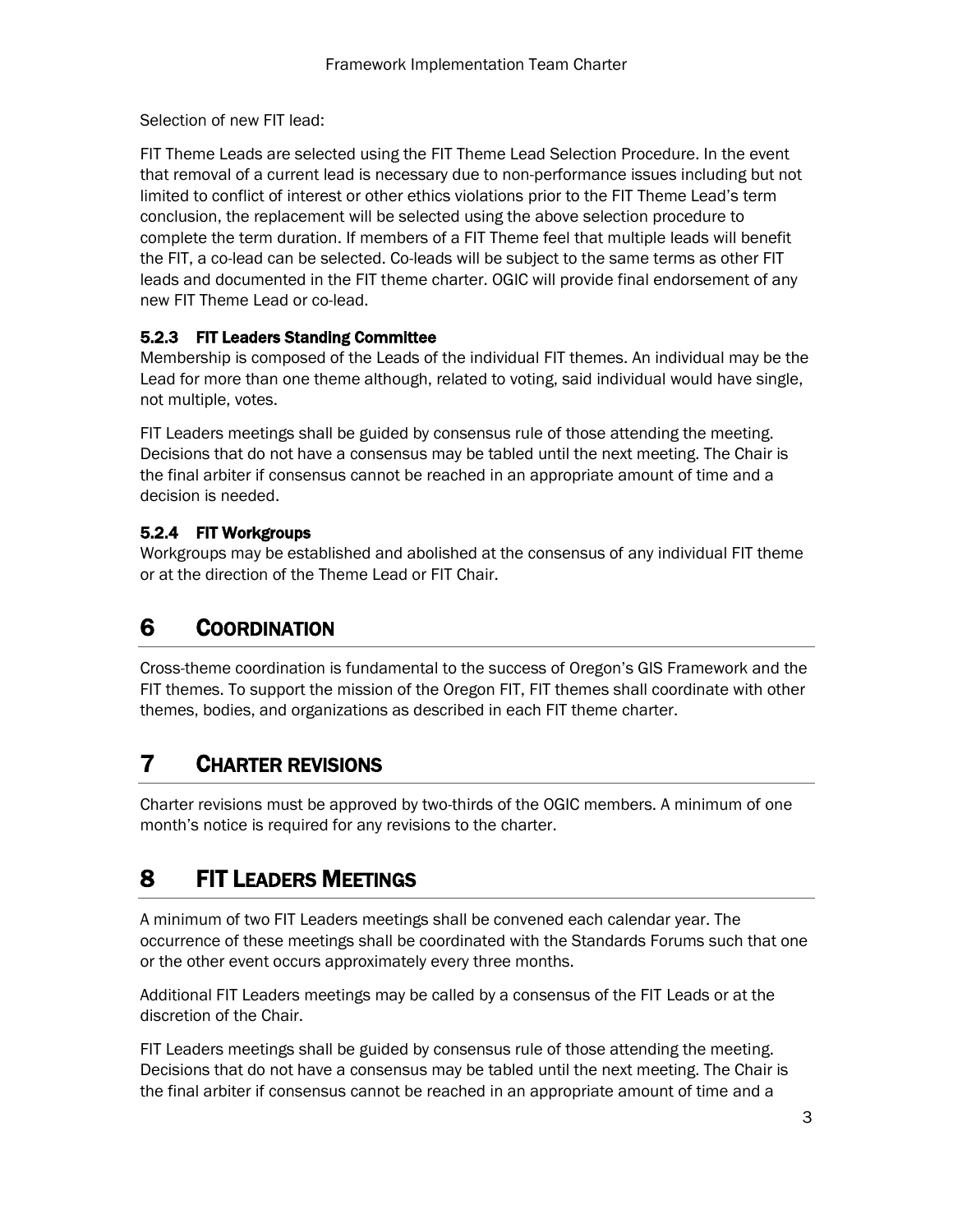Selection of new FIT lead:

FIT Theme Leads are selected using the FIT Theme Lead Selection Procedure. In the event that removal of a current lead is necessary due to non-performance issues including but not limited to conflict of interest or other ethics violations prior to the FIT Theme Lead's term conclusion, the replacement will be selected using the above selection procedure to complete the term duration. If members of a FIT Theme feel that multiple leads will benefit the FIT, a co-lead can be selected. Co-leads will be subject to the same terms as other FIT leads and documented in the FIT theme charter. OGIC will provide final endorsement of any new FIT Theme Lead or co-lead.

#### 5.2.3 FIT Leaders Standing Committee

Membership is composed of the Leads of the individual FIT themes. An individual may be the Lead for more than one theme although, related to voting, said individual would have single, not multiple, votes.

FIT Leaders meetings shall be guided by consensus rule of those attending the meeting. Decisions that do not have a consensus may be tabled until the next meeting. The Chair is the final arbiter if consensus cannot be reached in an appropriate amount of time and a decision is needed.

#### 5.2.4 FIT Workgroups

Workgroups may be established and abolished at the consensus of any individual FIT theme or at the direction of the Theme Lead or FIT Chair.

## 6 COORDINATION

Cross-theme coordination is fundamental to the success of Oregon's GIS Framework and the FIT themes. To support the mission of the Oregon FIT, FIT themes shall coordinate with other themes, bodies, and organizations as described in each FIT theme charter.

# 7 CHARTER REVISIONS

Charter revisions must be approved by two-thirds of the OGIC members. A minimum of one month's notice is required for any revisions to the charter.

# 8 FIT LEADERS MEETINGS

A minimum of two FIT Leaders meetings shall be convened each calendar year. The occurrence of these meetings shall be coordinated with the Standards Forums such that one or the other event occurs approximately every three months.

Additional FIT Leaders meetings may be called by a consensus of the FIT Leads or at the discretion of the Chair.

FIT Leaders meetings shall be guided by consensus rule of those attending the meeting. Decisions that do not have a consensus may be tabled until the next meeting. The Chair is the final arbiter if consensus cannot be reached in an appropriate amount of time and a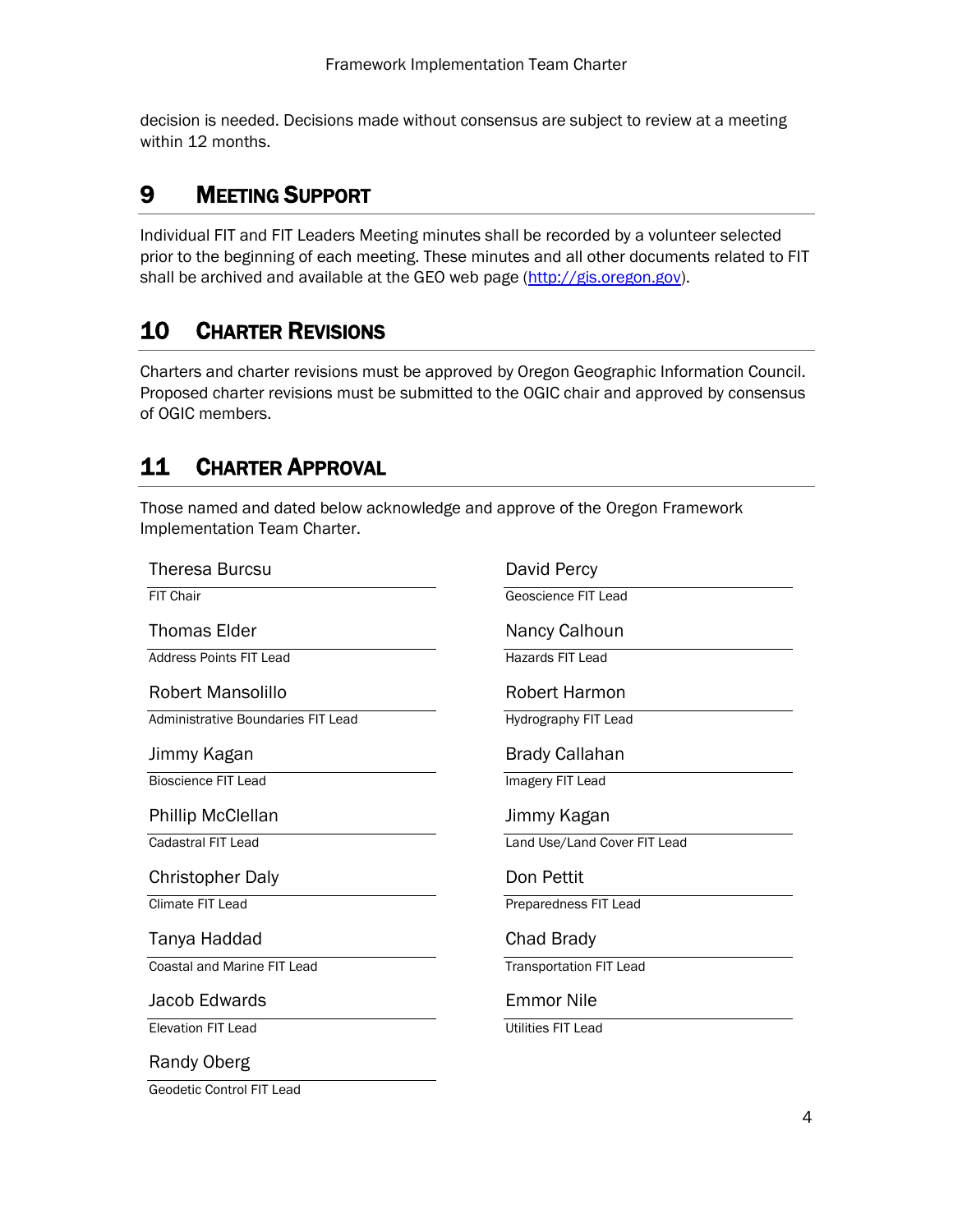decision is needed. Decisions made without consensus are subject to review at a meeting within 12 months.

### 9 MEETING SUPPORT

Individual FIT and FIT Leaders Meeting minutes shall be recorded by a volunteer selected prior to the beginning of each meeting. These minutes and all other documents related to FIT shall be archived and available at the GEO web page [\(http://gis.oregon.gov\)](http://gis.oregon.gov/).

### 10 CHARTER REVISIONS

Charters and charter revisions must be approved by Oregon Geographic Information Council. Proposed charter revisions must be submitted to the OGIC chair and approved by consensus of OGIC members.

### 11 CHARTER APPROVAL

Those named and dated below acknowledge and approve of the Oregon Framework Implementation Team Charter.

| Theresa Burcsu                     | David Percy                    |
|------------------------------------|--------------------------------|
| <b>FIT Chair</b>                   | Geoscience FIT Lead            |
| <b>Thomas Elder</b>                | Nancy Calhoun                  |
| <b>Address Points FIT Lead</b>     | Hazards FIT Lead               |
| Robert Mansolillo                  | <b>Robert Harmon</b>           |
| Administrative Boundaries FIT Lead | Hydrography FIT Lead           |
| Jimmy Kagan                        | <b>Brady Callahan</b>          |
| <b>Bioscience FIT Lead</b>         | Imagery FIT Lead               |
| Phillip McClellan                  | Jimmy Kagan                    |
| Cadastral FIT Lead                 | Land Use/Land Cover FIT Lead   |
| <b>Christopher Daly</b>            | Don Pettit                     |
| <b>Climate FIT Lead</b>            | Preparedness FIT Lead          |
| Tanya Haddad                       | Chad Brady                     |
| Coastal and Marine FIT Lead        | <b>Transportation FIT Lead</b> |
| Jacob Edwards                      | <b>Emmor Nile</b>              |
| <b>Elevation FIT Lead</b>          | <b>Utilities FIT Lead</b>      |
| Randy Oberg                        |                                |

Geodetic Control FIT Lead